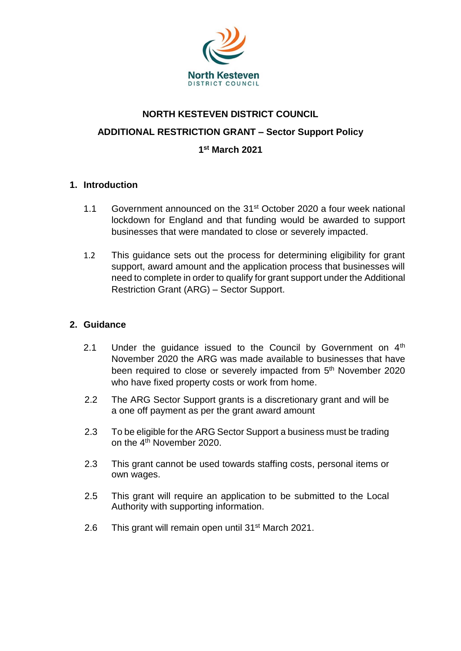

# **NORTH KESTEVEN DISTRICT COUNCIL ADDITIONAL RESTRICTION GRANT – Sector Support Policy 1 st March 2021**

#### **1. Introduction**

- 1.1 Government announced on the 31st October 2020 a four week national lockdown for England and that funding would be awarded to support businesses that were mandated to close or severely impacted.
- 1.2 This guidance sets out the process for determining eligibility for grant support, award amount and the application process that businesses will need to complete in order to qualify for grant support under the Additional Restriction Grant (ARG) – Sector Support.

#### **2. Guidance**

- 2.1 Under the quidance issued to the Council by Government on  $4<sup>th</sup>$ November 2020 the ARG was made available to businesses that have been required to close or severely impacted from 5<sup>th</sup> November 2020 who have fixed property costs or work from home.
- 2.2 The ARG Sector Support grants is a discretionary grant and will be a one off payment as per the grant award amount
- 2.3 To be eligible for the ARG Sector Support a business must be trading on the 4th November 2020.
- 2.3 This grant cannot be used towards staffing costs, personal items or own wages.
- 2.5 This grant will require an application to be submitted to the Local Authority with supporting information.
- 2.6 This grant will remain open until 31<sup>st</sup> March 2021.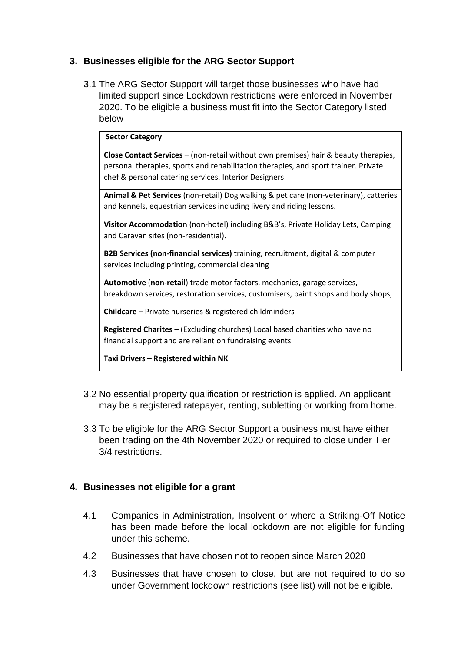### **3. Businesses eligible for the ARG Sector Support**

3.1 The ARG Sector Support will target those businesses who have had limited support since Lockdown restrictions were enforced in November 2020. To be eligible a business must fit into the Sector Category listed below

#### **Sector Category**

**Close Contact Services** – (non-retail without own premises) hair & beauty therapies, personal therapies, sports and rehabilitation therapies, and sport trainer. Private chef & personal catering services. Interior Designers.

**Animal & Pet Services** (non-retail) Dog walking & pet care (non-veterinary), catteries and kennels, equestrian services including livery and riding lessons.

**Visitor Accommodation** (non-hotel) including B&B's, Private Holiday Lets, Camping and Caravan sites (non-residential).

**B2B Services (non-financial services)** training, recruitment, digital & computer services including printing, commercial cleaning

**Automotive** (**non-retail**) trade motor factors, mechanics, garage services, breakdown services, restoration services, customisers, paint shops and body shops,

**Childcare –** Private nurseries & registered childminders

**Registered Charites –** (Excluding churches) Local based charities who have no financial support and are reliant on fundraising events

**Taxi Drivers – Registered within NK**

- 3.2 No essential property qualification or restriction is applied. An applicant may be a registered ratepayer, renting, subletting or working from home.
- 3.3 To be eligible for the ARG Sector Support a business must have either been trading on the 4th November 2020 or required to close under Tier 3/4 restrictions.

#### **4. Businesses not eligible for a grant**

- 4.1 Companies in Administration, Insolvent or where a Striking-Off Notice has been made before the local lockdown are not eligible for funding under this scheme.
- 4.2 Businesses that have chosen not to reopen since March 2020
- 4.3 Businesses that have chosen to close, but are not required to do so under Government lockdown restrictions (see list) will not be eligible.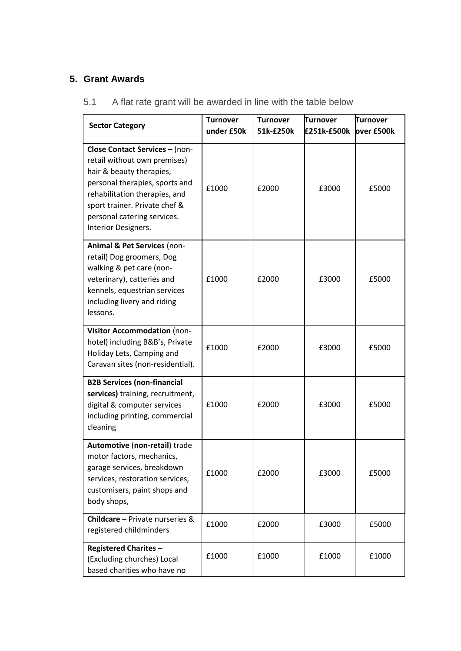## **5. Grant Awards**

| <b>Sector Category</b>                                                                                                                                                                                                                                      | <b>Turnover</b><br>under £50k | <b>Turnover</b><br>51k-£250k | <b>Turnover</b><br>£251k-£500k | <b>Turnover</b><br>over £500k |
|-------------------------------------------------------------------------------------------------------------------------------------------------------------------------------------------------------------------------------------------------------------|-------------------------------|------------------------------|--------------------------------|-------------------------------|
| <b>Close Contact Services - (non-</b><br>retail without own premises)<br>hair & beauty therapies,<br>personal therapies, sports and<br>rehabilitation therapies, and<br>sport trainer. Private chef &<br>personal catering services.<br>Interior Designers. | £1000                         | £2000                        | £3000                          | £5000                         |
| Animal & Pet Services (non-<br>retail) Dog groomers, Dog<br>walking & pet care (non-<br>veterinary), catteries and<br>kennels, equestrian services<br>including livery and riding<br>lessons.                                                               | £1000                         | £2000                        | £3000                          | £5000                         |
| Visitor Accommodation (non-<br>hotel) including B&B's, Private<br>Holiday Lets, Camping and<br>Caravan sites (non-residential).                                                                                                                             | £1000                         | £2000                        | £3000                          | £5000                         |
| <b>B2B Services (non-financial</b><br>services) training, recruitment,<br>digital & computer services<br>including printing, commercial<br>cleaning                                                                                                         | £1000                         | £2000                        | £3000                          | £5000                         |
| Automotive (non-retail) trade<br>motor factors, mechanics,<br>garage services, breakdown<br>services, restoration services,<br>customisers, paint shops and<br>body shops,                                                                                  | £1000                         | £2000                        | £3000                          | £5000                         |
| <b>Childcare</b> – Private nurseries &<br>registered childminders                                                                                                                                                                                           | £1000                         | £2000                        | £3000                          | £5000                         |
| <b>Registered Charites -</b><br>(Excluding churches) Local<br>based charities who have no                                                                                                                                                                   | £1000                         | £1000                        | £1000                          | £1000                         |

5.1 A flat rate grant will be awarded in line with the table below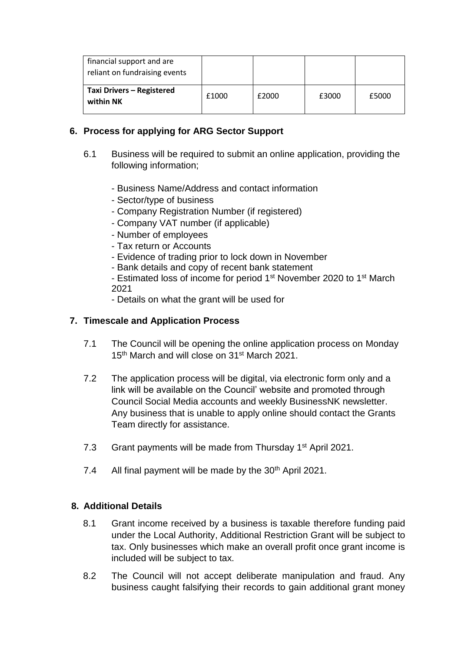| financial support and are<br>reliant on fundraising events |       |       |       |       |
|------------------------------------------------------------|-------|-------|-------|-------|
| Taxi Drivers - Registered<br>within NK                     | £1000 | £2000 | £3000 | £5000 |

### **6. Process for applying for ARG Sector Support**

- 6.1 Business will be required to submit an online application, providing the following information;
	- Business Name/Address and contact information
	- Sector/type of business
	- Company Registration Number (if registered)
	- Company VAT number (if applicable)
	- Number of employees
	- Tax return or Accounts
	- Evidence of trading prior to lock down in November
	- Bank details and copy of recent bank statement

- Estimated loss of income for period 1<sup>st</sup> November 2020 to 1<sup>st</sup> March 2021

- Details on what the grant will be used for

### **7. Timescale and Application Process**

- 7.1 The Council will be opening the online application process on Monday 15<sup>th</sup> March and will close on 31<sup>st</sup> March 2021.
- 7.2 The application process will be digital, via electronic form only and a link will be available on the Council' website and promoted through Council Social Media accounts and weekly BusinessNK newsletter. Any business that is unable to apply online should contact the Grants Team directly for assistance.
- 7.3 Grant payments will be made from Thursday 1<sup>st</sup> April 2021.
- 7.4 All final payment will be made by the 30<sup>th</sup> April 2021.

#### **8. Additional Details**

- 8.1 Grant income received by a business is taxable therefore funding paid under the Local Authority, Additional Restriction Grant will be subject to tax. Only businesses which make an overall profit once grant income is included will be subject to tax.
- 8.2 The Council will not accept deliberate manipulation and fraud. Any business caught falsifying their records to gain additional grant money